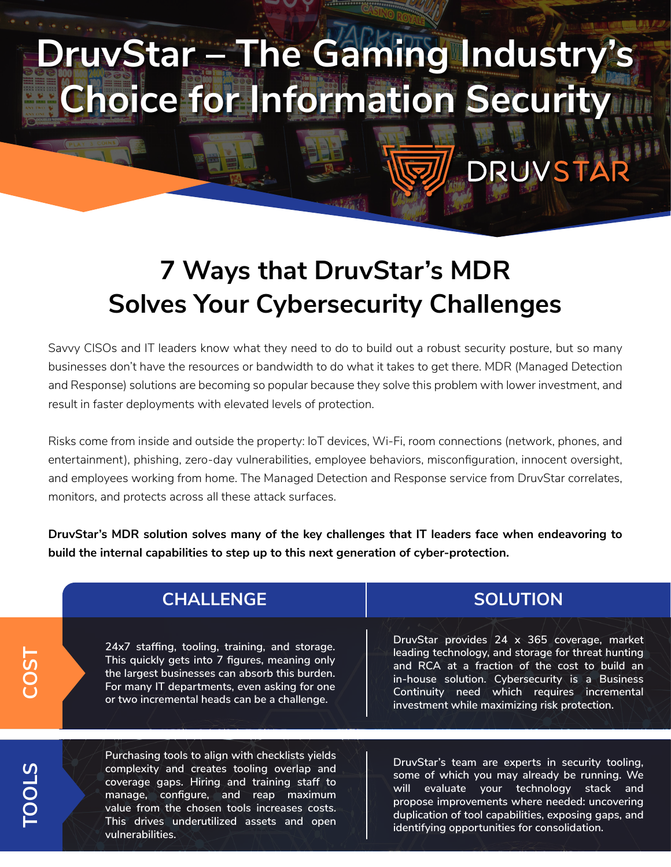## **DruvStar – The Gaming Industry's Choice for Information Security**

## **7 Ways that DruvStar's MDR Solves Your Cybersecurity Challenges**

Savvy CISOs and IT leaders know what they need to do to build out a robust security posture, but so many businesses don't have the resources or bandwidth to do what it takes to get there. MDR (Managed Detection and Response) solutions are becoming so popular because they solve this problem with lower investment, and result in faster deployments with elevated levels of protection.

Risks come from inside and outside the property: IoT devices, Wi-Fi, room connections (network, phones, and entertainment), phishing, zero-day vulnerabilities, employee behaviors, misconfiguration, innocent oversight, and employees working from home. The Managed Detection and Response service from DruvStar correlates, monitors, and protects across all these attack surfaces.

**DruvStar's MDR solution solves many of the key challenges that IT leaders face when endeavoring to build the internal capabilities to step up to this next generation of cyber-protection.**

| <b>CHALLENGE</b>                                                                                                                                                                                                                                   | <b>SOLUTION</b>                                                                                                                                                                                                                                                                                    |
|----------------------------------------------------------------------------------------------------------------------------------------------------------------------------------------------------------------------------------------------------|----------------------------------------------------------------------------------------------------------------------------------------------------------------------------------------------------------------------------------------------------------------------------------------------------|
| 24x7 staffing, tooling, training, and storage.<br>This quickly gets into 7 figures, meaning only<br>the largest businesses can absorb this burden.<br>For many IT departments, even asking for one<br>or two incremental heads can be a challenge. | DruvStar provides 24 x 365 coverage, market<br>leading technology, and storage for threat hunting<br>and RCA at a fraction of the cost to build an<br>in-house solution. Cybersecurity is a Business<br>Continuity need which requires incremental<br>investment while maximizing risk protection. |

**TOOLS**

**COST**

**Purchasing tools to align with checklists yields complexity and creates tooling overlap and coverage gaps. Hiring and training staff to manage, configure, and reap maximum value from the chosen tools increases costs. This drives underutilized assets and open vulnerabilities.**

**DruvStar's team are experts in security tooling, some of which you may already be running. We will evaluate your technology stack and propose improvements where needed: uncovering duplication of tool capabilities, exposing gaps, and identifying opportunities for consolidation.**

DRUVSTA